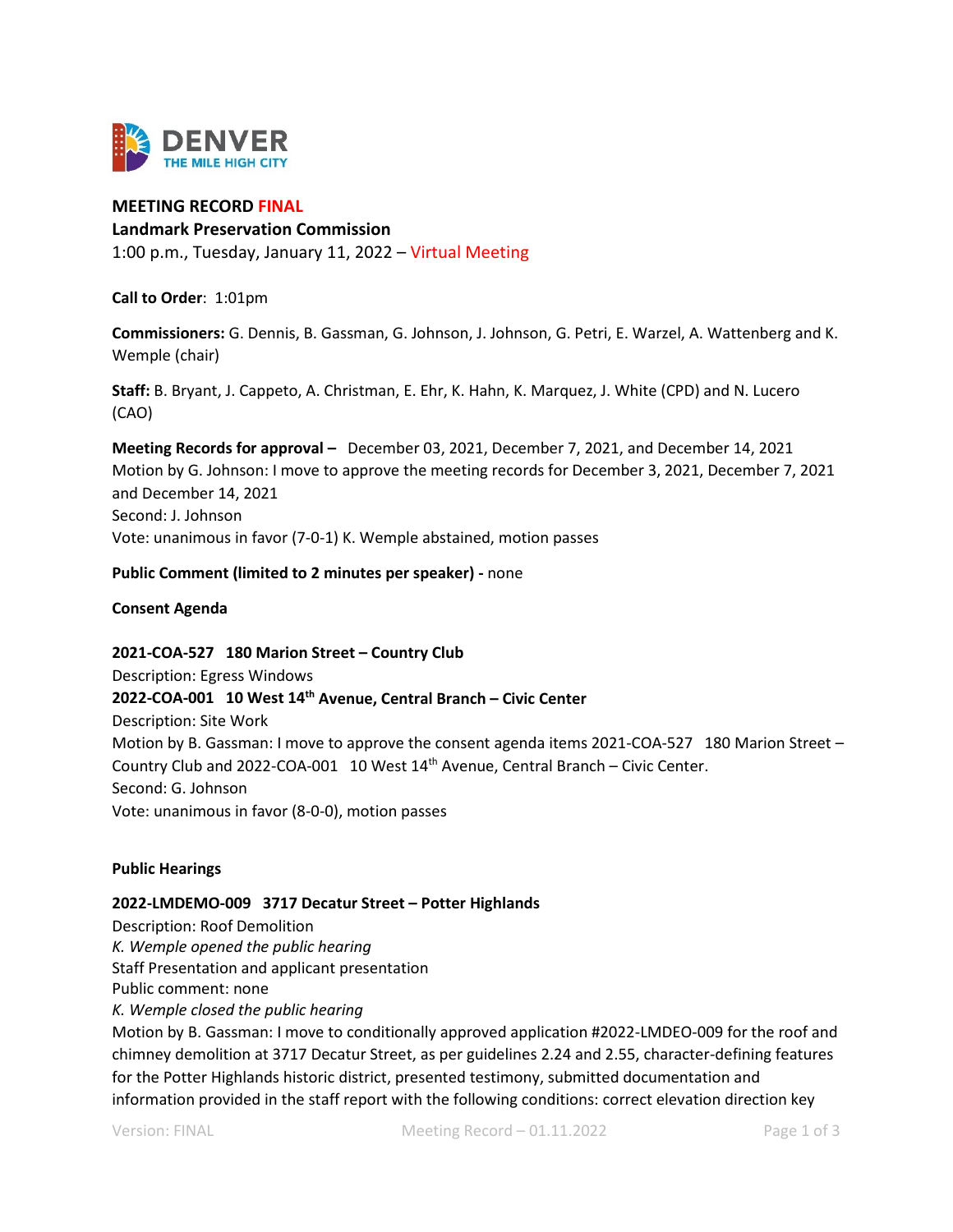

# **MEETING RECORD FINAL**

#### **Landmark Preservation Commission**

1:00 p.m., Tuesday, January 11, 2022 – Virtual Meeting

**Call to Order**: 1:01pm

**Commissioners:** G. Dennis, B. Gassman, G. Johnson, J. Johnson, G. Petri, E. Warzel, A. Wattenberg and K. Wemple (chair)

**Staff:** B. Bryant, J. Cappeto, A. Christman, E. Ehr, K. Hahn, K. Marquez, J. White (CPD) and N. Lucero (CAO)

**Meeting Records for approval –** December 03, 2021, December 7, 2021, and December 14, 2021 Motion by G. Johnson: I move to approve the meeting records for December 3, 2021, December 7, 2021 and December 14, 2021 Second: J. Johnson

Vote: unanimous in favor (7-0-1) K. Wemple abstained, motion passes

### **Public Comment (limited to 2 minutes per speaker) -** none

**Consent Agenda**

# **2021-COA-527 180 Marion Street – Country Club**

Description: Egress Windows **2022-COA-001 10 West 14th Avenue, Central Branch – Civic Center**  Description: Site Work Motion by B. Gassman: I move to approve the consent agenda items 2021-COA-527 180 Marion Street – Country Club and 2022-COA-001 10 West 14th Avenue, Central Branch – Civic Center. Second: G. Johnson Vote: unanimous in favor (8-0-0), motion passes

#### **Public Hearings**

# **2022-LMDEMO-009 3717 Decatur Street – Potter Highlands**

Description: Roof Demolition *K. Wemple opened the public hearing* Staff Presentation and applicant presentation Public comment: none *K. Wemple closed the public hearing* Motion by B. Gassman: I move to conditionally approved application #2022-LMDEO-009 for the roof and chimney demolition at 3717 Decatur Street, as per guidelines 2.24 and 2.55, character-defining features for the Potter Highlands historic district, presented testimony, submitted documentation and information provided in the staff report with the following conditions: correct elevation direction key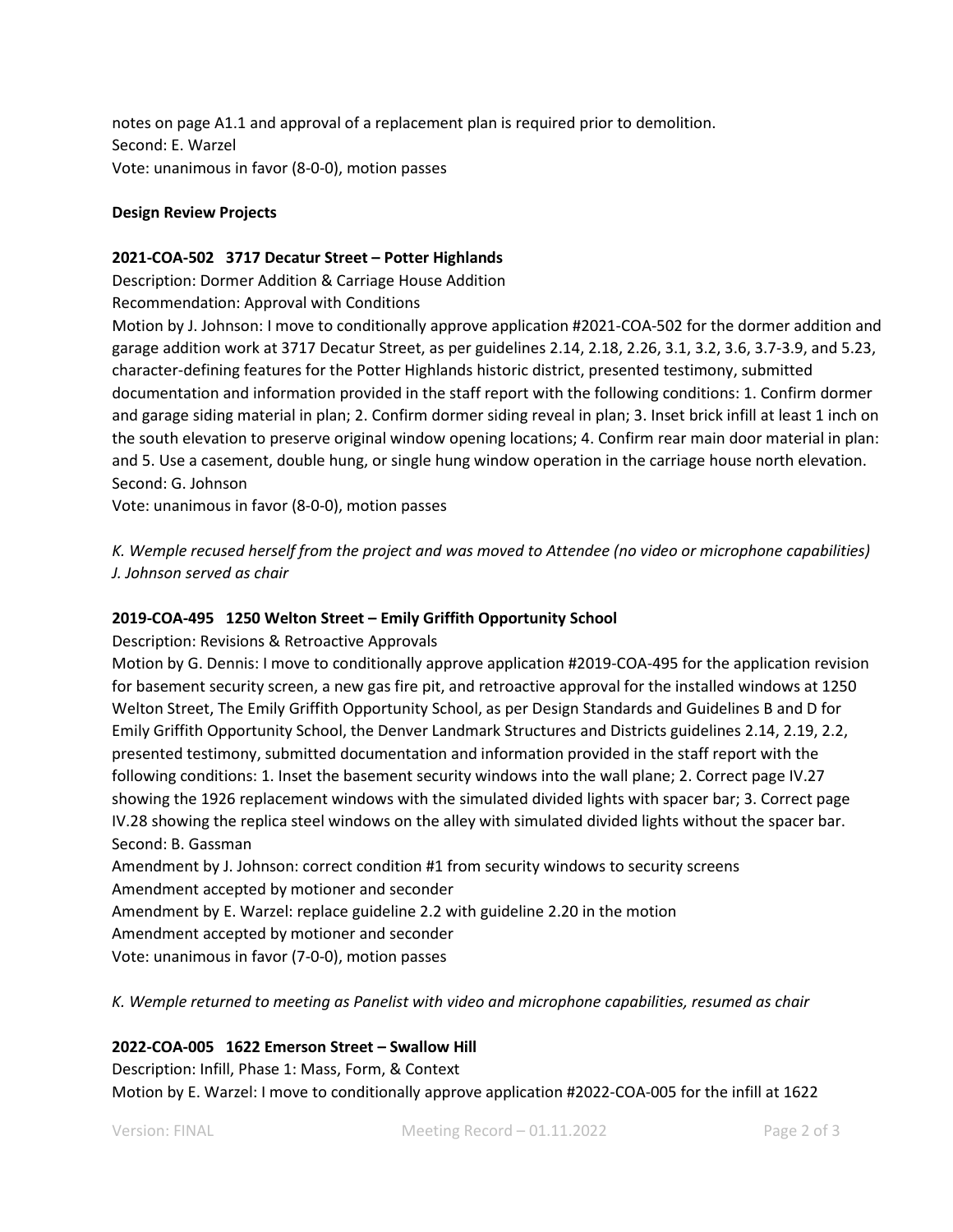notes on page A1.1 and approval of a replacement plan is required prior to demolition. Second: E. Warzel Vote: unanimous in favor (8-0-0), motion passes

# **Design Review Projects**

### **2021-COA-502 3717 Decatur Street – Potter Highlands**

Description: Dormer Addition & Carriage House Addition

Recommendation: Approval with Conditions

Motion by J. Johnson: I move to conditionally approve application #2021-COA-502 for the dormer addition and garage addition work at 3717 Decatur Street, as per guidelines 2.14, 2.18, 2.26, 3.1, 3.2, 3.6, 3.7-3.9, and 5.23, character-defining features for the Potter Highlands historic district, presented testimony, submitted documentation and information provided in the staff report with the following conditions: 1. Confirm dormer and garage siding material in plan; 2. Confirm dormer siding reveal in plan; 3. Inset brick infill at least 1 inch on the south elevation to preserve original window opening locations; 4. Confirm rear main door material in plan: and 5. Use a casement, double hung, or single hung window operation in the carriage house north elevation. Second: G. Johnson

Vote: unanimous in favor (8-0-0), motion passes

*K. Wemple recused herself from the project and was moved to Attendee (no video or microphone capabilities) J. Johnson served as chair*

# **2019-COA-495 1250 Welton Street – Emily Griffith Opportunity School**

Description: Revisions & Retroactive Approvals

Motion by G. Dennis: I move to conditionally approve application #2019-COA-495 for the application revision for basement security screen, a new gas fire pit, and retroactive approval for the installed windows at 1250 Welton Street, The Emily Griffith Opportunity School, as per Design Standards and Guidelines B and D for Emily Griffith Opportunity School, the Denver Landmark Structures and Districts guidelines 2.14, 2.19, 2.2, presented testimony, submitted documentation and information provided in the staff report with the following conditions: 1. Inset the basement security windows into the wall plane; 2. Correct page IV.27 showing the 1926 replacement windows with the simulated divided lights with spacer bar; 3. Correct page IV.28 showing the replica steel windows on the alley with simulated divided lights without the spacer bar. Second: B. Gassman

Amendment by J. Johnson: correct condition #1 from security windows to security screens Amendment accepted by motioner and seconder Amendment by E. Warzel: replace guideline 2.2 with guideline 2.20 in the motion Amendment accepted by motioner and seconder Vote: unanimous in favor (7-0-0), motion passes

*K. Wemple returned to meeting as Panelist with video and microphone capabilities, resumed as chair*

# **2022-COA-005 1622 Emerson Street – Swallow Hill**

Description: Infill, Phase 1: Mass, Form, & Context Motion by E. Warzel: I move to conditionally approve application #2022-COA-005 for the infill at 1622